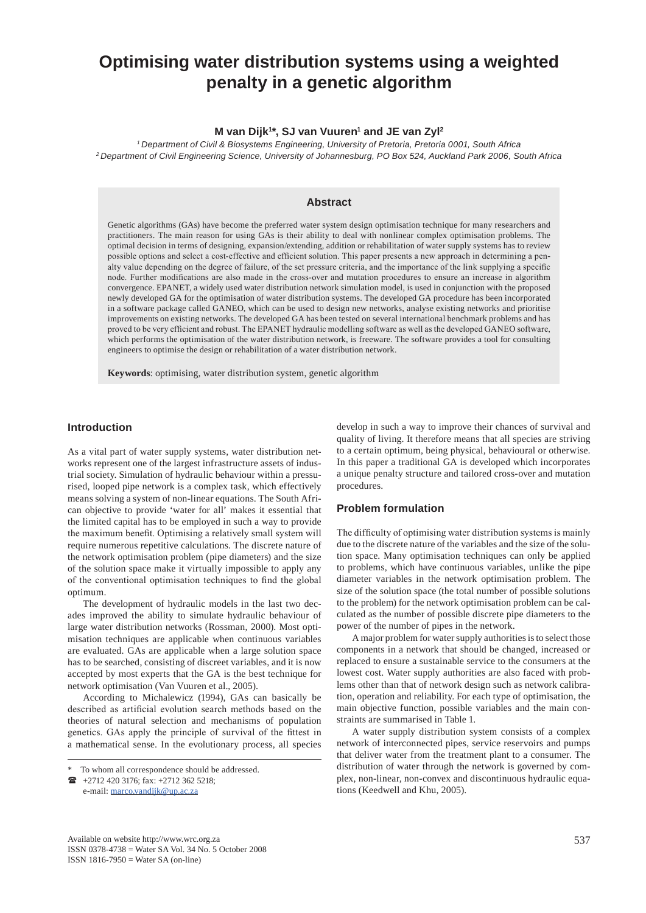# **Optimising water distribution systems using a weighted penalty in a genetic algorithm**

#### **M van Dijk1 \*, SJ van Vuuren1 and JE van Zyl2**

*1 Department of Civil & Biosystems Engineering, University of Pretoria, Pretoria 0001, South Africa 2 Department of Civil Engineering Science, University of Johannesburg, PO Box 524, Auckland Park 2006, South Africa*

#### **Abstract**

Genetic algorithms (GAs) have become the preferred water system design optimisation technique for many researchers and practitioners. The main reason for using GAs is their ability to deal with nonlinear complex optimisation problems. The optimal decision in terms of designing, expansion/extending, addition or rehabilitation of water supply systems has to review possible options and select a cost-effective and efficient solution. This paper presents a new approach in determining a penalty value depending on the degree of failure, of the set pressure criteria, and the importance of the link supplying a specific node. Further modifications are also made in the cross-over and mutation procedures to ensure an increase in algorithm convergence. EPANET, a widely used water distribution network simulation model, is used in conjunction with the proposed newly developed GA for the optimisation of water distribution systems. The developed GA procedure has been incorporated in a software package called GANEO, which can be used to design new networks, analyse existing networks and prioritise improvements on existing networks. The developed GA has been tested on several international benchmark problems and has proved to be very efficient and robust. The EPANET hydraulic modelling software as well as the developed GANEO software, which performs the optimisation of the water distribution network, is freeware. The software provides a tool for consulting engineers to optimise the design or rehabilitation of a water distribution network.

**Keywords**: optimising, water distribution system, genetic algorithm

#### **Introduction**

As a vital part of water supply systems, water distribution networks represent one of the largest infrastructure assets of industrial society. Simulation of hydraulic behaviour within a pressurised, looped pipe network is a complex task, which effectively means solving a system of non-linear equations. The South African objective to provide 'water for all' makes it essential that the limited capital has to be employed in such a way to provide the maximum benefit. Optimising a relatively small system will require numerous repetitive calculations. The discrete nature of the network optimisation problem (pipe diameters) and the size of the solution space make it virtually impossible to apply any of the conventional optimisation techniques to find the global optimum.

The development of hydraulic models in the last two decades improved the ability to simulate hydraulic behaviour of large water distribution networks (Rossman, 2000). Most optimisation techniques are applicable when continuous variables are evaluated. GAs are applicable when a large solution space has to be searched, consisting of discreet variables, and it is now accepted by most experts that the GA is the best technique for network optimisation (Van Vuuren et al., 2005).

According to Michalewicz (1994), GAs can basically be described as artificial evolution search methods based on the theories of natural selection and mechanisms of population genetics. GAs apply the principle of survival of the fittest in a mathematical sense. In the evolutionary process, all species

 +2712 420 3176; fax: +2712 362 5218; e-mail: marco.vandijk@up.ac.za

develop in such a way to improve their chances of survival and quality of living. It therefore means that all species are striving to a certain optimum, being physical, behavioural or otherwise. In this paper a traditional GA is developed which incorporates a unique penalty structure and tailored cross-over and mutation procedures.

#### **Problem formulation**

The difficulty of optimising water distribution systems is mainly due to the discrete nature of the variables and the size of the solution space. Many optimisation techniques can only be applied to problems, which have continuous variables, unlike the pipe diameter variables in the network optimisation problem. The size of the solution space (the total number of possible solutions to the problem) for the network optimisation problem can be calculated as the number of possible discrete pipe diameters to the power of the number of pipes in the network.

A major problem for water supply authorities is to select those components in a network that should be changed, increased or replaced to ensure a sustainable service to the consumers at the lowest cost. Water supply authorities are also faced with problems other than that of network design such as network calibration, operation and reliability. For each type of optimisation, the main objective function, possible variables and the main constraints are summarised in Table 1.

A water supply distribution system consists of a complex network of interconnected pipes, service reservoirs and pumps that deliver water from the treatment plant to a consumer. The distribution of water through the network is governed by complex, non-linear, non-convex and discontinuous hydraulic equations (Keedwell and Khu, 2005).

<sup>\*</sup> To whom all correspondence should be addressed.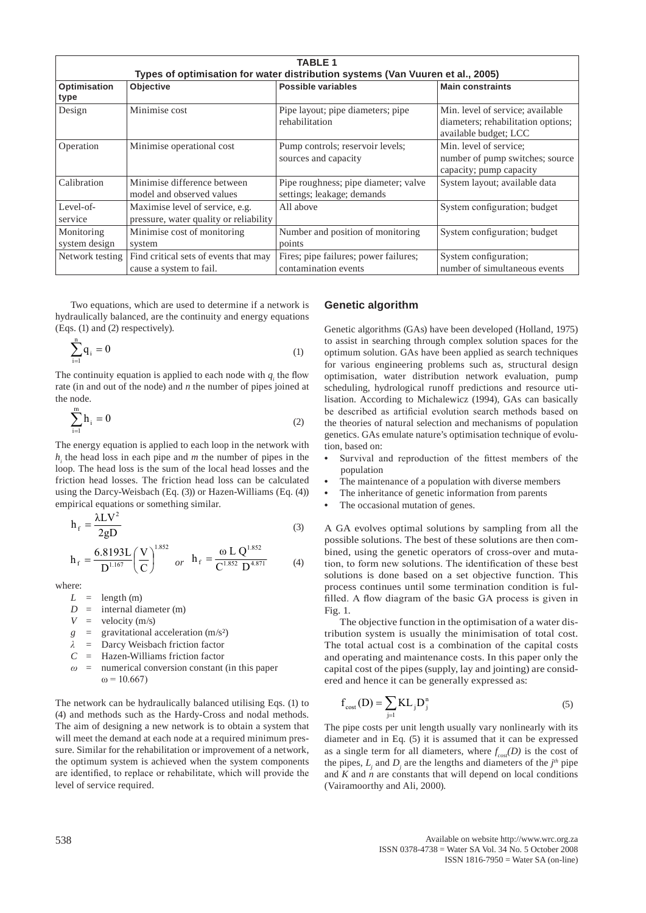|                             | <b>TABLE 1</b>                                                                 |                                                                    |                                                                                                 |  |  |  |  |  |  |  |
|-----------------------------|--------------------------------------------------------------------------------|--------------------------------------------------------------------|-------------------------------------------------------------------------------------------------|--|--|--|--|--|--|--|
|                             | Types of optimisation for water distribution systems (Van Vuuren et al., 2005) |                                                                    |                                                                                                 |  |  |  |  |  |  |  |
| Optimisation<br>type        | <b>Objective</b>                                                               | Possible variables                                                 | <b>Main constraints</b>                                                                         |  |  |  |  |  |  |  |
| Design                      | Minimise cost                                                                  | Pipe layout; pipe diameters; pipe<br>rehabilitation                | Min. level of service; available<br>diameters; rehabilitation options;<br>available budget; LCC |  |  |  |  |  |  |  |
| Operation                   | Minimise operational cost                                                      | Pump controls; reservoir levels;<br>sources and capacity           | Min. level of service;<br>number of pump switches; source<br>capacity; pump capacity            |  |  |  |  |  |  |  |
| Calibration                 | Minimise difference between<br>model and observed values                       | Pipe roughness; pipe diameter; valve<br>settings; leakage; demands | System layout; available data                                                                   |  |  |  |  |  |  |  |
| Level-of-<br>service        | Maximise level of service, e.g.<br>pressure, water quality or reliability      | All above                                                          | System configuration; budget                                                                    |  |  |  |  |  |  |  |
| Monitoring<br>system design | Minimise cost of monitoring<br>system                                          | Number and position of monitoring<br>points                        | System configuration; budget                                                                    |  |  |  |  |  |  |  |
| Network testing             | Find critical sets of events that may<br>cause a system to fail.               | Fires; pipe failures; power failures;<br>contamination events      | System configuration;<br>number of simultaneous events                                          |  |  |  |  |  |  |  |

Two equations, which are used to determine if a network is hydraulically balanced, are the continuity and energy equations (Eqs. (1) and (2) respectively).

$$
\sum_{i=1}^{n} q_i = 0 \tag{1}
$$

The continuity equation is applied to each node with  $q_i$  the flow rate (in and out of the node) and *n* the number of pipes joined at the node.

$$
\sum_{i=1}^{m} h_i = 0 \tag{2}
$$

The energy equation is applied to each loop in the network with  $h_i$  the head loss in each pipe and  $m$  the number of pipes in the loop. The head loss is the sum of the local head losses and the friction head losses. The friction head loss can be calculated using the Darcy-Weisbach (Eq. (3)) or Hazen-Williams (Eq. (4)) empirical equations or something similar.

$$
h_f = \frac{\lambda LV^2}{2gD}
$$
 (3)

$$
h_{f} = \frac{6.8193L}{D^{1.167}} \left(\frac{V}{C}\right)^{1.852} \quad or \quad h_{f} = \frac{\omega L Q^{1.852}}{C^{1.852} D^{4.871}} \tag{4}
$$

where:

- $L =$  length (m)
- $D =$  internal diameter (m)
- $V =$  velocity (m/s)
- $g =$  gravitational acceleration (m/s<sup>2</sup>)
- *λ* = Darcy Weisbach friction factor
- *C* = Hazen-Williams friction factor
- $\omega$  = numerical conversion constant (in this paper  $ω = 10.667$

The network can be hydraulically balanced utilising Eqs. (1) to (4) and methods such as the Hardy-Cross and nodal methods. The aim of designing a new network is to obtain a system that will meet the demand at each node at a required minimum pressure. Similar for the rehabilitation or improvement of a network, the optimum system is achieved when the system components are identified, to replace or rehabilitate, which will provide the level of service required.

# **Genetic algorithm**

Genetic algorithms (GAs) have been developed (Holland, 1975) to assist in searching through complex solution spaces for the optimum solution. GAs have been applied as search techniques for various engineering problems such as, structural design optimisation, water distribution network evaluation, pump scheduling, hydrological runoff predictions and resource utilisation. According to Michalewicz (1994), GAs can basically be described as artificial evolution search methods based on the theories of natural selection and mechanisms of population genetics. GAs emulate nature's optimisation technique of evolution, based on:

- **•** Survival and reproduction of the fittest members of the population
- **•** The maintenance of a population with diverse members
- **•** The inheritance of genetic information from parents
- The occasional mutation of genes.

A GA evolves optimal solutions by sampling from all the possible solutions. The best of these solutions are then combined, using the genetic operators of cross-over and mutation, to form new solutions. The identification of these best solutions is done based on a set objective function. This process continues until some termination condition is fulfilled. A flow diagram of the basic GA process is given in Fig. 1.

The objective function in the optimisation of a water distribution system is usually the minimisation of total cost. The total actual cost is a combination of the capital costs and operating and maintenance costs. In this paper only the capital cost of the pipes (supply, lay and jointing) are considered and hence it can be generally expressed as:

$$
f_{\text{cost}}(D) = \sum_{j=1} \text{KL}_j D_j^n \tag{5}
$$

The pipe costs per unit length usually vary nonlinearly with its diameter and in Eq. (5) it is assumed that it can be expressed as a single term for all diameters, where  $f_{\text{cosf}}(D)$  is the cost of the pipes,  $L_j$  and  $D_j$  are the lengths and diameters of the  $j<sup>th</sup>$  pipe and  $K$  and  $n$  are constants that will depend on local conditions (Vairamoorthy and Ali, 2000).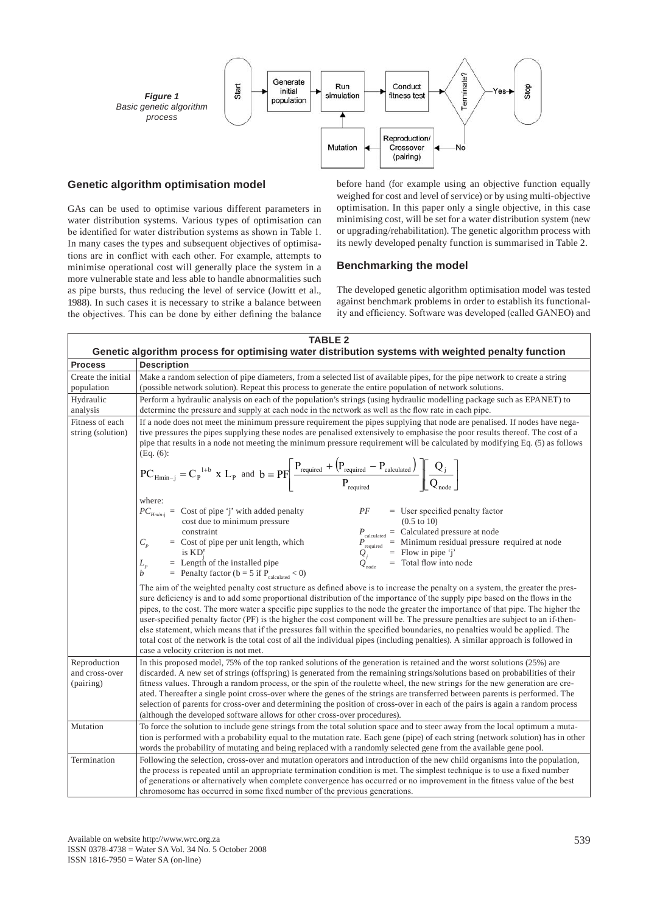

### **Genetic algorithm optimisation model**

GAs can be used to optimise various different parameters in water distribution systems. Various types of optimisation can be identified for water distribution systems as shown in Table 1. In many cases the types and subsequent objectives of optimisations are in conflict with each other. For example, attempts to minimise operational cost will generally place the system in a more vulnerable state and less able to handle abnormalities such as pipe bursts, thus reducing the level of service (Jowitt et al., 1988). In such cases it is necessary to strike a balance between the objectives. This can be done by either defining the balance before hand (for example using an objective function equally weighed for cost and level of service) or by using multi-objective optimisation. In this paper only a single objective, in this case minimising cost, will be set for a water distribution system (new or upgrading/rehabilitation). The genetic algorithm process with its newly developed penalty function is summarised in Table 2.

### **Benchmarking the model**

The developed genetic algorithm optimisation model was tested against benchmark problems in order to establish its functionality and efficiency. Software was developed (called GANEO) and

|                                             | <b>TABLE 2</b><br>Genetic algorithm process for optimising water distribution systems with weighted penalty function                                                                                                                                                                                                                                                                                                                                                                                                                                                                                                                                                                                                                                                                                                                         |  |  |  |  |  |
|---------------------------------------------|----------------------------------------------------------------------------------------------------------------------------------------------------------------------------------------------------------------------------------------------------------------------------------------------------------------------------------------------------------------------------------------------------------------------------------------------------------------------------------------------------------------------------------------------------------------------------------------------------------------------------------------------------------------------------------------------------------------------------------------------------------------------------------------------------------------------------------------------|--|--|--|--|--|
| <b>Process</b>                              | <b>Description</b>                                                                                                                                                                                                                                                                                                                                                                                                                                                                                                                                                                                                                                                                                                                                                                                                                           |  |  |  |  |  |
| Create the initial<br>population            | Make a random selection of pipe diameters, from a selected list of available pipes, for the pipe network to create a string<br>(possible network solution). Repeat this process to generate the entire population of network solutions.                                                                                                                                                                                                                                                                                                                                                                                                                                                                                                                                                                                                      |  |  |  |  |  |
| Hydraulic<br>analysis                       | Perform a hydraulic analysis on each of the population's strings (using hydraulic modelling package such as EPANET) to<br>determine the pressure and supply at each node in the network as well as the flow rate in each pipe.                                                                                                                                                                                                                                                                                                                                                                                                                                                                                                                                                                                                               |  |  |  |  |  |
| Fitness of each<br>string (solution)        | If a node does not meet the minimum pressure requirement the pipes supplying that node are penalised. If nodes have nega-<br>tive pressures the pipes supplying these nodes are penalised extensively to emphasise the poor results thereof. The cost of a<br>pipe that results in a node not meeting the minimum pressure requirement will be calculated by modifying Eq. (5) as follows<br>$(Eq. (6)$ :                                                                                                                                                                                                                                                                                                                                                                                                                                    |  |  |  |  |  |
|                                             | $PC_{Hmin-j} = C_p^{1+b} \times L_p$ and $b = PF \left[ \frac{P_{required} + (P_{required} - P_{calculated})}{P_{required}} \right] \left[ \frac{Q_j}{Q_{node}} \right]$                                                                                                                                                                                                                                                                                                                                                                                                                                                                                                                                                                                                                                                                     |  |  |  |  |  |
|                                             | where:<br>PF<br>$PC_{Hmin-j}$ = Cost of pipe 'j' with added penalty<br>$=$ User specified penalty factor<br>cost due to minimum pressure<br>$(0.5 \text{ to } 10)$<br>constraint<br>$P_{\text{calculated}} = \text{Calculated pressure at node}$<br>$P_{\text{required}} = \text{Minimum residual pressure required at node}$<br>$Q_j = \text{Flow in pipe 'j'}$<br>$Q_{\text{node}} = \text{Total flow into node}$<br>$C_p$<br>$=$ Cost of pipe per unit length, which<br>is $KD^n$<br>$L_p$<br>$=$ Length of the installed pipe<br>= Penalty factor ( $b = 5$ if $P_{calculated} < 0$ )<br>$\boldsymbol{b}$                                                                                                                                                                                                                                |  |  |  |  |  |
|                                             | The aim of the weighted penalty cost structure as defined above is to increase the penalty on a system, the greater the pres-<br>sure deficiency is and to add some proportional distribution of the importance of the supply pipe based on the flows in the<br>pipes, to the cost. The more water a specific pipe supplies to the node the greater the importance of that pipe. The higher the<br>user-specified penalty factor (PF) is the higher the cost component will be. The pressure penalties are subject to an if-then-<br>else statement, which means that if the pressures fall within the specified boundaries, no penalties would be applied. The<br>total cost of the network is the total cost of all the individual pipes (including penalties). A similar approach is followed in<br>case a velocity criterion is not met. |  |  |  |  |  |
| Reproduction<br>and cross-over<br>(pairing) | In this proposed model, 75% of the top ranked solutions of the generation is retained and the worst solutions (25%) are<br>discarded. A new set of strings (offspring) is generated from the remaining strings/solutions based on probabilities of their<br>fitness values. Through a random process, or the spin of the roulette wheel, the new strings for the new generation are cre-<br>ated. Thereafter a single point cross-over where the genes of the strings are transferred between parents is performed. The<br>selection of parents for cross-over and determining the position of cross-over in each of the pairs is again a random process<br>(although the developed software allows for other cross-over procedures).                                                                                                        |  |  |  |  |  |
| Mutation                                    | To force the solution to include gene strings from the total solution space and to steer away from the local optimum a muta-<br>tion is performed with a probability equal to the mutation rate. Each gene (pipe) of each string (network solution) has in other<br>words the probability of mutating and being replaced with a randomly selected gene from the available gene pool.                                                                                                                                                                                                                                                                                                                                                                                                                                                         |  |  |  |  |  |
| Termination                                 | Following the selection, cross-over and mutation operators and introduction of the new child organisms into the population,<br>the process is repeated until an appropriate termination condition is met. The simplest technique is to use a fixed number<br>of generations or alternatively when complete convergence has occurred or no improvement in the fitness value of the best<br>chromosome has occurred in some fixed number of the previous generations.                                                                                                                                                                                                                                                                                                                                                                          |  |  |  |  |  |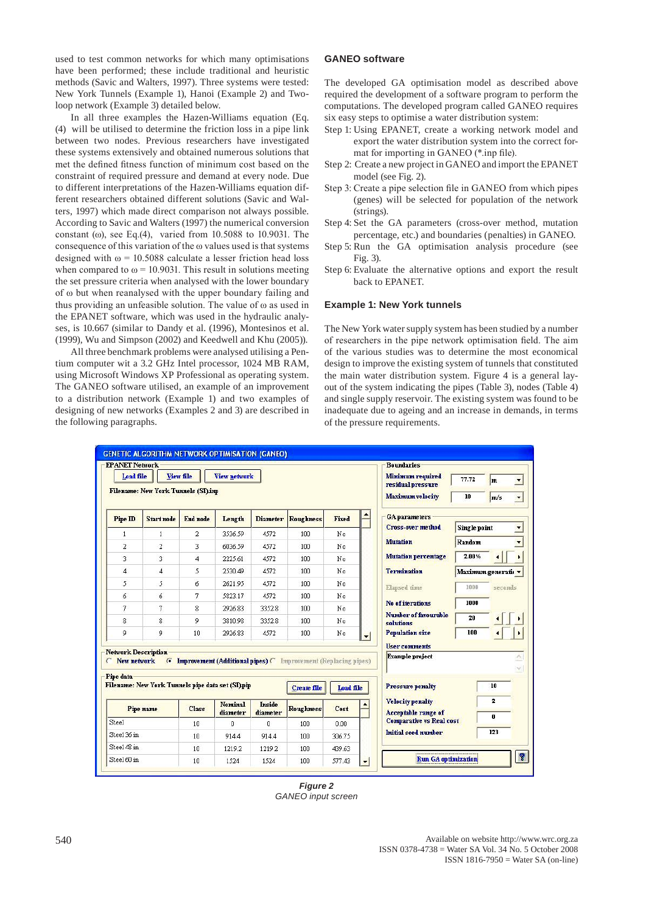used to test common networks for which many optimisations have been performed; these include traditional and heuristic methods (Savic and Walters, 1997). Three systems were tested: New York Tunnels (Example 1), Hanoi (Example 2) and Twoloop network (Example 3) detailed below.

In all three examples the Hazen-Williams equation (Eq. (4) will be utilised to determine the friction loss in a pipe link between two nodes. Previous researchers have investigated these systems extensively and obtained numerous solutions that met the defined fitness function of minimum cost based on the constraint of required pressure and demand at every node. Due to different interpretations of the Hazen-Williams equation different researchers obtained different solutions (Savic and Walters, 1997) which made direct comparison not always possible. According to Savic and Walters (1997) the numerical conversion constant ( $\omega$ ), see Eq.(4), varied from 10.5088 to 10.9031. The consequence of this variation of the ω values used is that systems designed with  $\omega$  = 10.5088 calculate a lesser friction head loss when compared to  $\omega$  = 10.9031. This result in solutions meeting the set pressure criteria when analysed with the lower boundary of ω but when reanalysed with the upper boundary failing and thus providing an unfeasible solution. The value of ω as used in the EPANET software, which was used in the hydraulic analyses, is 10.667 (similar to Dandy et al. (1996), Montesinos et al. (1999), Wu and Simpson (2002) and Keedwell and Khu (2005)).

All three benchmark problems were analysed utilising a Pentium computer wit a 3.2 GHz Intel processor, 1024 MB RAM, using Microsoft Windows XP Professional as operating system. The GANEO software utilised, an example of an improvement to a distribution network (Example 1) and two examples of designing of new networks (Examples 2 and 3) are described in the following paragraphs.

#### **GANEO software**

The developed GA optimisation model as described above required the development of a software program to perform the computations. The developed program called GANEO requires six easy steps to optimise a water distribution system:

- Step 1: Using EPANET, create a working network model and export the water distribution system into the correct format for importing in GANEO (\*.inp file).
- Step 2: Create a new project in GANEO and import the EPANET model (see Fig. 2).
- Step 3: Create a pipe selection file in GANEO from which pipes (genes) will be selected for population of the network (strings).
- Step 4: Set the GA parameters (cross-over method, mutation percentage, etc.) and boundaries (penalties) in GANEO.
- Step 5: Run the GA optimisation analysis procedure (see Fig. 3).
- Step 6: Evaluate the alternative options and export the result back to EPANET.

#### **Example 1: New York tunnels**

The New York water supply system has been studied by a number of researchers in the pipe network optimisation field. The aim of the various studies was to determine the most economical design to improve the existing system of tunnels that constituted the main water distribution system. Figure 4 is a general layout of the system indicating the pipes (Table 3), nodes (Table 4) and single supply reservoir. The existing system was found to be inadequate due to ageing and an increase in demands, in terms of the pressure requirements.

| <b>EPANET Network</b><br>Load file |                                                   | View file                      | <b>View network</b> |                           |                               |           |                          | <b>Boundaries</b><br>Minimum required<br>residual pressure | 77.72               | m              | $\overline{\phantom{a}}$ |
|------------------------------------|---------------------------------------------------|--------------------------------|---------------------|---------------------------|-------------------------------|-----------|--------------------------|------------------------------------------------------------|---------------------|----------------|--------------------------|
|                                    | Filename: New York Tunnels (SI).imp               |                                |                     |                           |                               |           |                          | <b>Maximum</b> velocity                                    | 10                  | m/s            | $\overline{\phantom{a}}$ |
| Pipe ID                            | <b>Start node</b>                                 | <b>End</b> node                | Length              | <b>Diameter</b>           | <b>Roughness</b>              | Fixed     |                          | <b>GA</b> parameters                                       |                     |                |                          |
| $\mathbf{1}$                       | $\mathbf{1}$                                      | $\overline{2}$                 | 3536.59             | 4572                      | 100                           | No        |                          | <b>Cross-over method</b>                                   | <b>Single point</b> |                | $\overline{\phantom{a}}$ |
| $\overline{2}$                     | $\overline{2}$                                    | 3                              | 6036.59             | 4572                      | 100                           | No        |                          | <b>Mutation</b>                                            | Random              |                | $\overline{\phantom{0}}$ |
| 3                                  | 3                                                 | $\overline{4}$                 | 2225.61             | 4572                      | 100                           | No        |                          | <b>Mutation percentage</b>                                 | 2.00%               |                | ٠                        |
| $\overline{4}$                     | $\overline{4}$                                    | 5                              | 2530.49             | 4572                      | 100                           | No        |                          | <b>Termination</b>                                         | Maximum generati:   |                |                          |
| 5                                  | 5                                                 | 6                              | 2621.95             | 4572                      | $100 -$                       | No        |                          | <b>Elapsed</b> time                                        | 1000                | seconds        |                          |
| 6                                  | 6                                                 | 7                              | 5823.17             | 4572                      | 100                           | No        |                          |                                                            |                     |                |                          |
| 7                                  | 7                                                 | 8                              | 2926.83             | 3352.8                    | 100                           | No        |                          | <b>No of iterations</b>                                    | 1000                |                |                          |
| 8                                  | 8                                                 | 9                              | 3810.98             | 3352.8                    | 100                           | No        |                          | Number of favourable<br>solutions                          | 20                  |                |                          |
| 9                                  | 9                                                 | 10                             | 2926.83             | 4572                      | 100                           | No        | $\overline{\phantom{a}}$ | <b>Population size</b>                                     | 100                 |                |                          |
|                                    |                                                   |                                |                     |                           |                               |           |                          | <b>User comments</b>                                       |                     |                |                          |
| New network                        | <b>Network Description</b><br>$\sigma$            | Improvement (Additional pipes) |                     |                           | Improvement (Replacing pipes) |           |                          | <b>Example project</b>                                     |                     |                | A,                       |
| Pipe data                          |                                                   |                                |                     |                           |                               |           |                          |                                                            |                     |                | $\sim$                   |
|                                    | Filename: New York Tunnels pipe data set (SI) pip |                                |                     |                           | <b>Create file</b>            | Load file |                          | <b>Pressure penalty</b>                                    |                     | 10             |                          |
|                                    | Pipe name                                         | <b>Class</b>                   | Nominal<br>diameter | <b>Inside</b><br>diameter | <b>Roughness</b>              | Cost      |                          | <b>Velocity penalty</b><br><b>Acceptable range of</b>      |                     | $\overline{2}$ |                          |
| <b>Steel</b>                       |                                                   | 10                             | $\mathbf 0$         | $\theta$                  | 100                           | 0.00      |                          | <b>Comparative vs Real cost</b>                            |                     | 0              |                          |
| Steel 36 in                        |                                                   | 10                             | 914.4               | 914.4                     | 100                           | 306.75    |                          | <b>Initial seed number</b>                                 |                     | 123            |                          |
| Steel 48 in                        |                                                   | 10                             | 1219.2              | 1219.2                    | 100                           | 439.63    |                          |                                                            |                     |                |                          |
| Steel 60 in                        |                                                   | 10                             | 1524                | 1524                      | 100                           | 577.43    | $\overline{\phantom{a}}$ | Run GA optimization                                        |                     |                | $\mathcal{P}$            |

*Figure 2 GANEO input screen*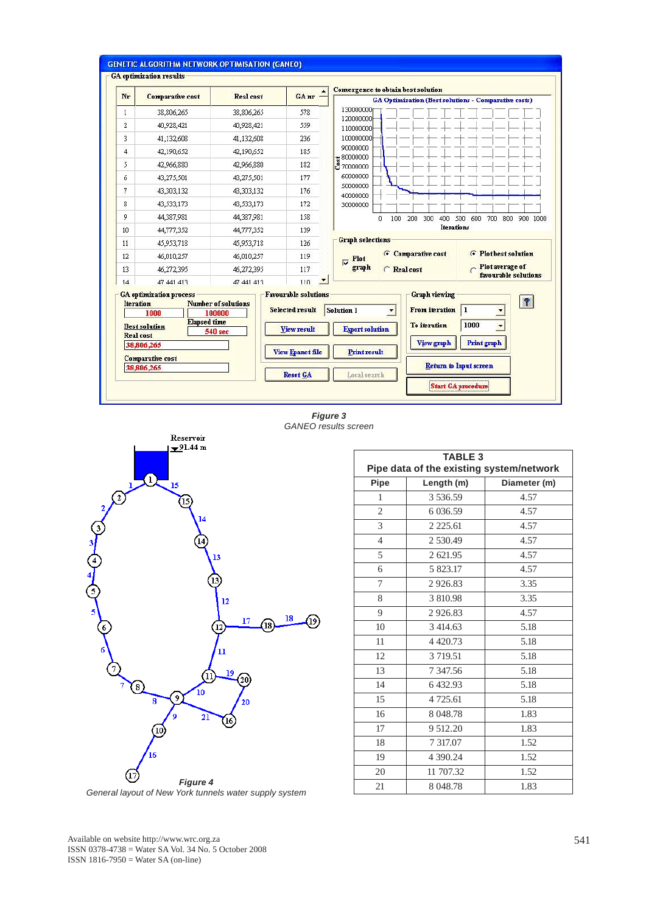

*Figure 3 GANEO results screen*



| <b>TABLE 3</b><br>Pipe data of the existing system/network |             |              |  |  |  |  |  |
|------------------------------------------------------------|-------------|--------------|--|--|--|--|--|
| Pipe                                                       | Length (m)  | Diameter (m) |  |  |  |  |  |
| $\mathbf{1}$                                               | 3 536.59    | 4.57         |  |  |  |  |  |
| $\overline{2}$                                             | 6 0 3 6 .59 | 4.57         |  |  |  |  |  |
| 3                                                          | 2 2 2 5 .61 | 4.57         |  |  |  |  |  |
| $\overline{4}$                                             | 2 530.49    | 4.57         |  |  |  |  |  |
| 5                                                          | 2 621.95    | 4.57         |  |  |  |  |  |
| 6                                                          | 5 823.17    | 4.57         |  |  |  |  |  |
| 7                                                          | 2926.83     | 3.35         |  |  |  |  |  |
| 8                                                          | 3 810.98    | 3.35         |  |  |  |  |  |
| 9                                                          | 2926.83     | 4.57         |  |  |  |  |  |
| 10                                                         | 3 414.63    | 5.18         |  |  |  |  |  |
| 11                                                         | 4 4 2 0.73  | 5.18         |  |  |  |  |  |
| 12                                                         | 3 7 19.51   | 5.18         |  |  |  |  |  |
| 13                                                         | 7 347.56    | 5.18         |  |  |  |  |  |
| 14                                                         | 6 432.93    | 5.18         |  |  |  |  |  |
| 15                                                         | 4 725.61    | 5.18         |  |  |  |  |  |
| 16                                                         | 8 048.78    | 1.83         |  |  |  |  |  |
| 17                                                         | 9 512.20    | 1.83         |  |  |  |  |  |
| 18                                                         | 7 317.07    | 1.52         |  |  |  |  |  |
| 19                                                         | 4 390.24    | 1.52         |  |  |  |  |  |
| 20                                                         | 11 707.32   | 1.52         |  |  |  |  |  |
| 21                                                         | 8 048.78    | 1.83         |  |  |  |  |  |

*General layout of New York tunnels water supply system*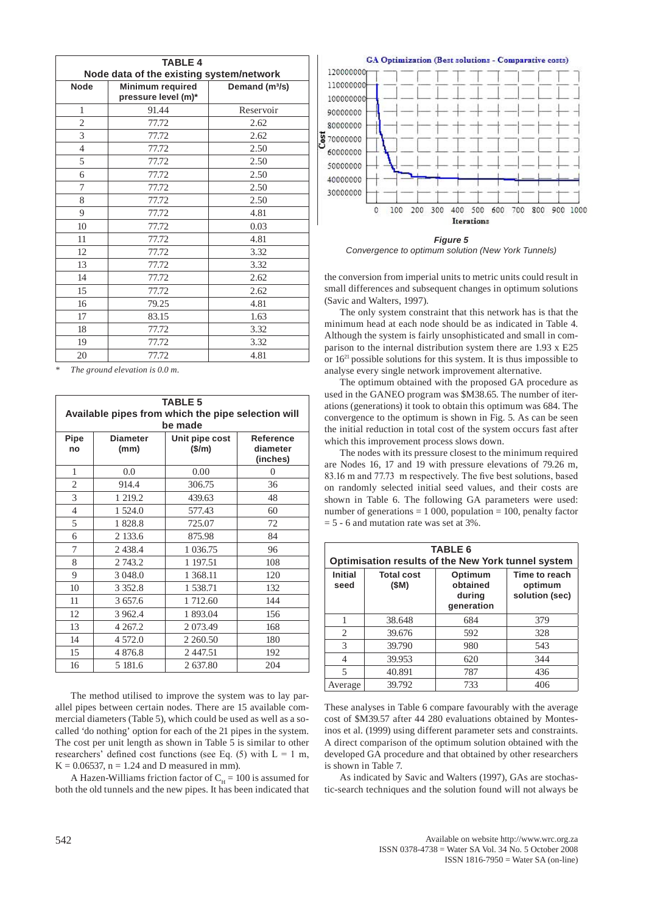| <b>TABLE 4</b> |                                          |                            |  |  |  |  |  |  |  |
|----------------|------------------------------------------|----------------------------|--|--|--|--|--|--|--|
|                | Node data of the existing system/network |                            |  |  |  |  |  |  |  |
| <b>Node</b>    | <b>Minimum required</b>                  | Demand (m <sup>3</sup> /s) |  |  |  |  |  |  |  |
|                | pressure level (m)*                      |                            |  |  |  |  |  |  |  |
| $\mathbf{1}$   | 91.44                                    | Reservoir                  |  |  |  |  |  |  |  |
| $\overline{c}$ | 77.72                                    | 2.62                       |  |  |  |  |  |  |  |
| 3              | 77.72                                    | 2.62                       |  |  |  |  |  |  |  |
| $\overline{4}$ | 77.72                                    | 2.50                       |  |  |  |  |  |  |  |
| 5              | 77.72                                    | 2.50                       |  |  |  |  |  |  |  |
| 6              | 77.72                                    | 2.50                       |  |  |  |  |  |  |  |
| 7              | 77.72                                    | 2.50                       |  |  |  |  |  |  |  |
| 8              | 77.72                                    | 2.50                       |  |  |  |  |  |  |  |
| 9              | 77.72                                    | 4.81                       |  |  |  |  |  |  |  |
| 10             | 77.72                                    | 0.03                       |  |  |  |  |  |  |  |
| 11             | 77.72                                    | 4.81                       |  |  |  |  |  |  |  |
| 12             | 77.72                                    | 3.32                       |  |  |  |  |  |  |  |
| 13             | 77.72                                    | 3.32                       |  |  |  |  |  |  |  |
| 14             | 77.72                                    | 2.62                       |  |  |  |  |  |  |  |
| 15             | 77.72                                    | 2.62                       |  |  |  |  |  |  |  |
| 16             | 79.25                                    | 4.81                       |  |  |  |  |  |  |  |
| 17             | 83.15                                    | 1.63                       |  |  |  |  |  |  |  |
| 18             | 77.72                                    | 3.32                       |  |  |  |  |  |  |  |
| 19             | 77.72                                    | 3.32                       |  |  |  |  |  |  |  |
| 20             | 77.72                                    | 4.81                       |  |  |  |  |  |  |  |

*\* The ground elevation is 0.0 m.*

| <b>TABLE 5</b><br>Available pipes from which the pipe selection will<br>be made |                         |                          |                                   |  |  |  |  |  |
|---------------------------------------------------------------------------------|-------------------------|--------------------------|-----------------------------------|--|--|--|--|--|
| Pipe<br>no                                                                      | <b>Diameter</b><br>(mm) | Unit pipe cost<br>(\$/m) | Reference<br>diameter<br>(inches) |  |  |  |  |  |
| 1                                                                               | 0.0                     | 0.00                     | $\Omega$                          |  |  |  |  |  |
| 2                                                                               | 914.4                   | 306.75                   | 36                                |  |  |  |  |  |
| 3                                                                               | 1 219.2                 | 439.63                   | 48                                |  |  |  |  |  |
| $\overline{4}$                                                                  | 1 524.0                 | 577.43                   | 60                                |  |  |  |  |  |
| 5                                                                               | 1828.8                  | 725.07                   | 72                                |  |  |  |  |  |
| 6                                                                               | 2 133.6                 | 875.98                   | 84                                |  |  |  |  |  |
| 7                                                                               | 2438.4                  | 1 0 3 6.75               | 96                                |  |  |  |  |  |
| 8                                                                               | 2 743.2                 | 1 197.51                 | 108                               |  |  |  |  |  |
| 9                                                                               | 3 048.0                 | 1 368.11                 | 120                               |  |  |  |  |  |
| 10                                                                              | 3 3 5 2 . 8             | 1 538.71                 | 132                               |  |  |  |  |  |
| 11                                                                              | 3 657.6                 | 1 712.60                 | 144                               |  |  |  |  |  |
| 12                                                                              | 3 9 6 2.4               | 1 893.04                 | 156                               |  |  |  |  |  |
| 13                                                                              | 4 267.2                 | 2 0 7 3 . 4 9            | 168                               |  |  |  |  |  |
| 14                                                                              | 4 572.0                 | 2 2 6 0.50               | 180                               |  |  |  |  |  |
| 15                                                                              | 4 876.8                 | 2447.51                  | 192                               |  |  |  |  |  |
| 16                                                                              | 5 181.6                 | 2 637.80                 | 204                               |  |  |  |  |  |

The method utilised to improve the system was to lay parallel pipes between certain nodes. There are 15 available commercial diameters (Table 5), which could be used as well as a socalled 'do nothing' option for each of the 21 pipes in the system. The cost per unit length as shown in Table 5 is similar to other researchers' defined cost functions (see Eq.  $(5)$  with L = 1 m,  $K = 0.06537$ ,  $n = 1.24$  and D measured in mm).

A Hazen-Williams friction factor of  $C_H = 100$  is assumed for both the old tunnels and the new pipes. It has been indicated that



*Figure 5 Convergence to optimum solution (New York Tunnels)*

the conversion from imperial units to metric units could result in small differences and subsequent changes in optimum solutions (Savic and Walters, 1997).

The only system constraint that this network has is that the minimum head at each node should be as indicated in Table 4. Although the system is fairly unsophisticated and small in comparison to the internal distribution system there are 1.93 x E25 or 1621 possible solutions for this system. It is thus impossible to analyse every single network improvement alternative.

The optimum obtained with the proposed GA procedure as used in the GANEO program was \$M38.65. The number of iterations (generations) it took to obtain this optimum was 684. The convergence to the optimum is shown in Fig. 5. As can be seen the initial reduction in total cost of the system occurs fast after which this improvement process slows down.

The nodes with its pressure closest to the minimum required are Nodes 16, 17 and 19 with pressure elevations of 79.26 m, 83.16 m and 77.73 m respectively. The five best solutions, based on randomly selected initial seed values, and their costs are shown in Table 6. The following GA parameters were used: number of generations  $= 1000$ , population  $= 100$ , penalty factor  $= 5 - 6$  and mutation rate was set at 3%.

| <b>TABLE 6</b><br>Optimisation results of the New York tunnel system |                           |                                             |                                            |  |  |  |  |  |
|----------------------------------------------------------------------|---------------------------|---------------------------------------------|--------------------------------------------|--|--|--|--|--|
| <b>Initial</b><br>seed                                               | <b>Total cost</b><br>(SM) | Optimum<br>obtained<br>during<br>generation | Time to reach<br>optimum<br>solution (sec) |  |  |  |  |  |
| 1                                                                    | 38.648                    | 684                                         | 379                                        |  |  |  |  |  |
| $\overline{c}$                                                       | 39.676                    | 592                                         | 328                                        |  |  |  |  |  |
| 3                                                                    | 39.790                    | 980                                         | 543                                        |  |  |  |  |  |
| $\overline{4}$                                                       | 39.953                    | 620                                         | 344                                        |  |  |  |  |  |
| $\overline{\phantom{0}}$                                             | 40.891                    | 787                                         | 436                                        |  |  |  |  |  |
| Average                                                              | 39.792                    | 733                                         | 406                                        |  |  |  |  |  |

These analyses in Table 6 compare favourably with the average cost of \$M39.57 after 44 280 evaluations obtained by Montesinos et al. (1999) using different parameter sets and constraints. A direct comparison of the optimum solution obtained with the developed GA procedure and that obtained by other researchers is shown in Table 7.

As indicated by Savic and Walters (1997), GAs are stochastic-search techniques and the solution found will not always be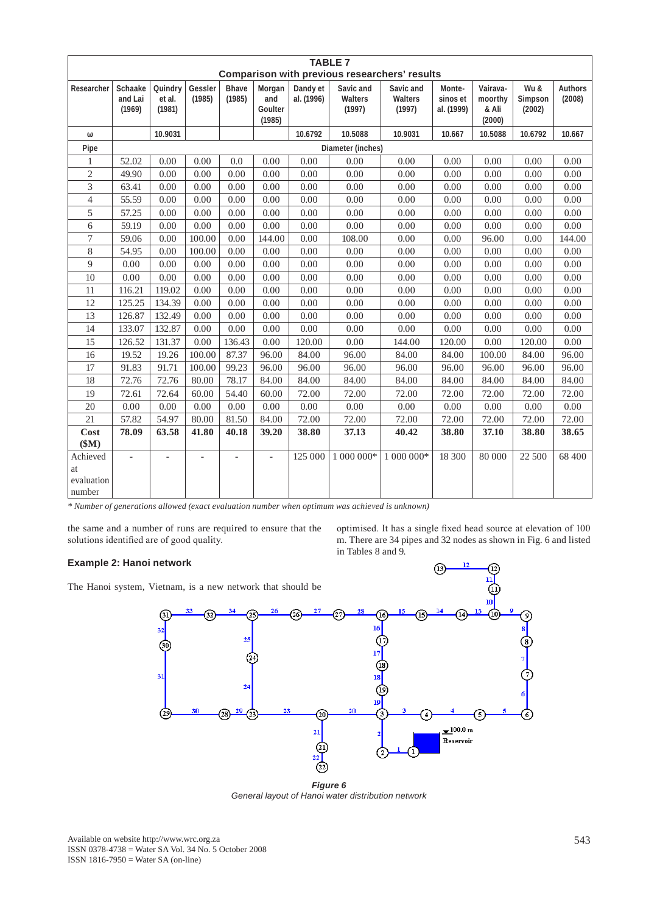|                                        | <b>TABLE 7</b><br><b>Comparison with previous researchers' results</b> |                             |                   |                        |                                    |                        |                                |                                |                                  |                                        |                           |                          |
|----------------------------------------|------------------------------------------------------------------------|-----------------------------|-------------------|------------------------|------------------------------------|------------------------|--------------------------------|--------------------------------|----------------------------------|----------------------------------------|---------------------------|--------------------------|
|                                        |                                                                        |                             |                   |                        |                                    |                        |                                |                                |                                  |                                        |                           |                          |
| Researcher                             | Schaake<br>and Lai<br>(1969)                                           | Quindry<br>et al.<br>(1981) | Gessler<br>(1985) | <b>Bhave</b><br>(1985) | Morgan<br>and<br>Goulter<br>(1985) | Dandy et<br>al. (1996) | Savic and<br>Walters<br>(1997) | Savic and<br>Walters<br>(1997) | Monte-<br>sinos et<br>al. (1999) | Vairava-<br>moorthy<br>& Ali<br>(2000) | Wu &<br>Simpson<br>(2002) | <b>Authors</b><br>(2008) |
| ω                                      |                                                                        | 10.9031                     |                   |                        |                                    | 10.6792                | 10.5088                        | 10.9031                        | 10.667                           | 10.5088                                | 10.6792                   | 10.667                   |
| Pipe                                   |                                                                        |                             |                   |                        |                                    |                        | Diameter (inches)              |                                |                                  |                                        |                           |                          |
| 1                                      | 52.02                                                                  | 0.00                        | 0.00              | 0.0                    | 0.00                               | 0.00                   | 0.00                           | 0.00                           | 0.00                             | 0.00                                   | 0.00                      | 0.00                     |
| $\overline{2}$                         | 49.90                                                                  | 0.00                        | 0.00              | 0.00                   | 0.00                               | 0.00                   | 0.00                           | 0.00                           | 0.00                             | 0.00                                   | 0.00                      | 0.00                     |
| 3                                      | 63.41                                                                  | 0.00                        | 0.00              | 0.00                   | 0.00                               | 0.00                   | 0.00                           | 0.00                           | 0.00                             | 0.00                                   | 0.00                      | 0.00                     |
| $\overline{4}$                         | 55.59                                                                  | 0.00                        | 0.00              | 0.00                   | 0.00                               | 0.00                   | 0.00                           | 0.00                           | 0.00                             | 0.00                                   | 0.00                      | 0.00                     |
| 5                                      | 57.25                                                                  | 0.00                        | 0.00              | 0.00                   | 0.00                               | 0.00                   | 0.00                           | 0.00                           | 0.00                             | 0.00                                   | 0.00                      | 0.00                     |
| 6                                      | 59.19                                                                  | 0.00                        | 0.00              | 0.00                   | 0.00                               | 0.00                   | 0.00                           | 0.00                           | 0.00                             | 0.00                                   | 0.00                      | 0.00                     |
| $\overline{7}$                         | 59.06                                                                  | 0.00                        | 100.00            | 0.00                   | 144.00                             | 0.00                   | 108.00                         | 0.00                           | 0.00                             | 96.00                                  | 0.00                      | 144.00                   |
| 8                                      | 54.95                                                                  | 0.00                        | 100.00            | 0.00                   | 0.00                               | 0.00                   | 0.00                           | 0.00                           | 0.00                             | 0.00                                   | 0.00                      | 0.00                     |
| 9                                      | 0.00                                                                   | 0.00                        | 0.00              | 0.00                   | 0.00                               | 0.00                   | 0.00                           | 0.00                           | 0.00                             | 0.00                                   | 0.00                      | 0.00                     |
| 10                                     | 0.00                                                                   | 0.00                        | 0.00              | 0.00                   | 0.00                               | 0.00                   | 0.00                           | 0.00                           | 0.00                             | 0.00                                   | 0.00                      | 0.00                     |
| 11                                     | 116.21                                                                 | 119.02                      | 0.00              | 0.00                   | 0.00                               | 0.00                   | 0.00                           | 0.00                           | 0.00                             | 0.00                                   | 0.00                      | 0.00                     |
| 12                                     | 125.25                                                                 | 134.39                      | 0.00              | 0.00                   | 0.00                               | 0.00                   | 0.00                           | 0.00                           | 0.00                             | 0.00                                   | 0.00                      | 0.00                     |
| 13                                     | 126.87                                                                 | 132.49                      | 0.00              | 0.00                   | 0.00                               | 0.00                   | 0.00                           | 0.00                           | 0.00                             | 0.00                                   | 0.00                      | 0.00                     |
| 14                                     | 133.07                                                                 | 132.87                      | 0.00              | 0.00                   | 0.00                               | 0.00                   | 0.00                           | 0.00                           | 0.00                             | 0.00                                   | 0.00                      | 0.00                     |
| 15                                     | 126.52                                                                 | 131.37                      | 0.00              | 136.43                 | 0.00                               | 120.00                 | 0.00                           | 144.00                         | 120.00                           | 0.00                                   | 120.00                    | 0.00                     |
| 16                                     | 19.52                                                                  | 19.26                       | 100.00            | 87.37                  | 96.00                              | 84.00                  | 96.00                          | 84.00                          | 84.00                            | 100.00                                 | 84.00                     | 96.00                    |
| 17                                     | 91.83                                                                  | 91.71                       | 100.00            | 99.23                  | 96.00                              | 96.00                  | 96.00                          | 96.00                          | 96.00                            | 96.00                                  | 96.00                     | 96.00                    |
| 18                                     | 72.76                                                                  | 72.76                       | 80.00             | 78.17                  | 84.00                              | 84.00                  | 84.00                          | 84.00                          | 84.00                            | 84.00                                  | 84.00                     | 84.00                    |
| 19                                     | 72.61                                                                  | 72.64                       | 60.00             | 54.40                  | 60.00                              | 72.00                  | 72.00                          | 72.00                          | 72.00                            | 72.00                                  | 72.00                     | 72.00                    |
| 20                                     | 0.00                                                                   | 0.00                        | 0.00              | 0.00                   | 0.00                               | 0.00                   | 0.00                           | 0.00                           | 0.00                             | 0.00                                   | 0.00                      | 0.00                     |
| 21                                     | 57.82                                                                  | 54.97                       | 80.00             | 81.50                  | 84.00                              | 72.00                  | 72.00                          | 72.00                          | 72.00                            | 72.00                                  | 72.00                     | 72.00                    |
| Cost<br>\$M)                           | 78.09                                                                  | 63.58                       | 41.80             | 40.18                  | 39.20                              | 38.80                  | 37.13                          | 40.42                          | 38.80                            | 37.10                                  | 38.80                     | 38.65                    |
| Achieved<br>at<br>evaluation<br>number |                                                                        |                             |                   |                        |                                    | 125 000                | 1 000 000*                     | 1 000 000*                     | 18 300                           | 80 000                                 | 22 500                    | 68 400                   |

*\* Number of generations allowed (exact evaluation number when optimum was achieved is unknown)*

the same and a number of runs are required to ensure that the solutions identified are of good quality.

optimised. It has a single fixed head source at elevation of 100 m. There are 34 pipes and 32 nodes as shown in Fig. 6 and listed in Tables 8 and 9.

6

# **Example 2: Hanoi network**

The Hanoi system, Vietnam, is a new network that should be



*Figure 6 General layout of Hanoi water distribution network*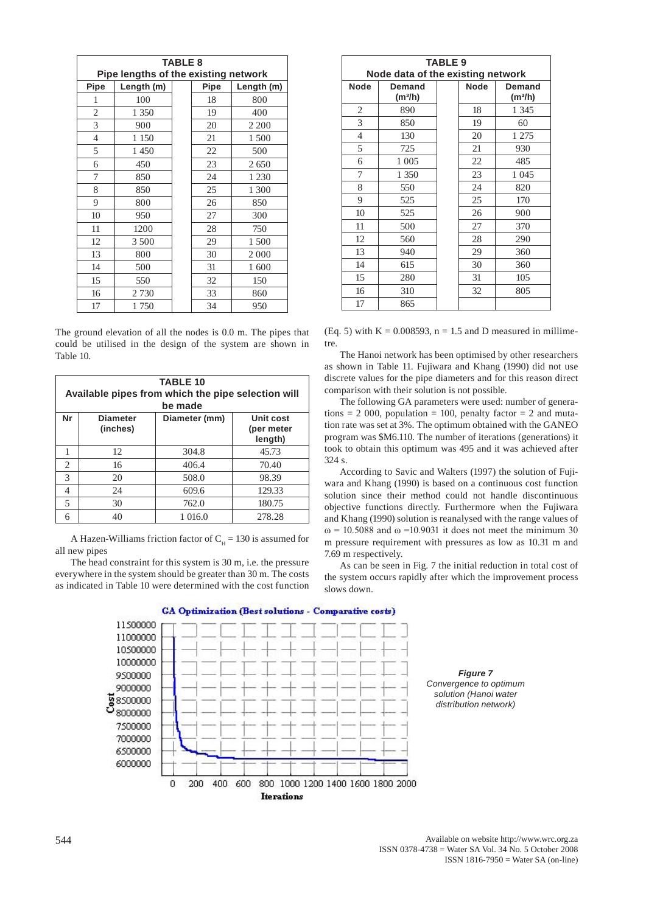| <b>TABLE 8</b>                       |            |  |      |            |  |  |  |  |  |
|--------------------------------------|------------|--|------|------------|--|--|--|--|--|
| Pipe lengths of the existing network |            |  |      |            |  |  |  |  |  |
| Pipe                                 | Length (m) |  | Pipe | Length (m) |  |  |  |  |  |
| 1                                    | 100        |  | 18   | 800        |  |  |  |  |  |
| 2                                    | 1 350      |  | 19   | 400        |  |  |  |  |  |
| 3                                    | 900        |  | 20   | 2 2 0 0    |  |  |  |  |  |
| $\overline{4}$                       | 1 1 5 0    |  | 21   | 1500       |  |  |  |  |  |
| 5                                    | 1450       |  | 22   | 500        |  |  |  |  |  |
| 6                                    | 450        |  | 23   | 2650       |  |  |  |  |  |
| 7                                    | 850        |  | 24   | 1 2 3 0    |  |  |  |  |  |
| 8                                    | 850        |  | 25   | 1 300      |  |  |  |  |  |
| 9                                    | 800        |  | 26   | 850        |  |  |  |  |  |
| 10                                   | 950        |  | 27   | 300        |  |  |  |  |  |
| 11                                   | 1200       |  | 28   | 750        |  |  |  |  |  |
| 12                                   | 3 500      |  | 29   | 1 500      |  |  |  |  |  |
| 13                                   | 800        |  | 30   | 2 0 0 0    |  |  |  |  |  |
| 14                                   | 500        |  | 31   | 1 600      |  |  |  |  |  |
| 15                                   | 550        |  | 32   | 150        |  |  |  |  |  |
| 16                                   | 2730       |  | 33   | 860        |  |  |  |  |  |
| 17                                   | 1750       |  | 34   | 950        |  |  |  |  |  |

The ground elevation of all the nodes is 0.0 m. The pipes that could be utilised in the design of the system are shown in Table 10.

|    | <b>TABLE 10</b><br>Available pipes from which the pipe selection will<br>be made |               |                                    |  |  |  |  |  |  |
|----|----------------------------------------------------------------------------------|---------------|------------------------------------|--|--|--|--|--|--|
| Nr | <b>Diameter</b><br>(inches)                                                      | Diameter (mm) | Unit cost<br>(per meter<br>length) |  |  |  |  |  |  |
|    | 12                                                                               | 304.8         | 45.73                              |  |  |  |  |  |  |
| 2  | 16                                                                               | 406.4         | 70.40                              |  |  |  |  |  |  |
| 3  | 20                                                                               | 508.0         | 98.39                              |  |  |  |  |  |  |
| 4  | 24                                                                               | 609.6         | 129.33                             |  |  |  |  |  |  |
| 5  | 30                                                                               | 762.0         | 180.75                             |  |  |  |  |  |  |
| 6  | 40                                                                               | 1 016.0       | 278.28                             |  |  |  |  |  |  |

A Hazen-Williams friction factor of  $C_H = 130$  is assumed for all new pipes

The head constraint for this system is 30 m, i.e. the pressure everywhere in the system should be greater than 30 m. The costs as indicated in Table 10 were determined with the cost function

| <b>TABLE 9</b>                    |                               |  |             |                                      |  |  |  |  |
|-----------------------------------|-------------------------------|--|-------------|--------------------------------------|--|--|--|--|
| Node data of the existing network |                               |  |             |                                      |  |  |  |  |
| <b>Node</b>                       | Demand<br>(m <sup>3</sup> /h) |  | <b>Node</b> | <b>Demand</b><br>(m <sup>3</sup> /h) |  |  |  |  |
| 2                                 | 890                           |  | 18          | 1 3 4 5                              |  |  |  |  |
| 3                                 | 850                           |  | 19          | 60                                   |  |  |  |  |
| $\overline{4}$                    | 130                           |  | 20          | 1 275                                |  |  |  |  |
| 5                                 | 725                           |  | 21          | 930                                  |  |  |  |  |
| 6                                 | 1 0 0 5                       |  | 22          | 485                                  |  |  |  |  |
| 7                                 | 1 350                         |  | 23          | 1 0 4 5                              |  |  |  |  |
| 8                                 | 550                           |  | 24          | 820                                  |  |  |  |  |
| 9                                 | 525                           |  | 25          | 170                                  |  |  |  |  |
| 10                                | 525                           |  | 26          | 900                                  |  |  |  |  |
| 11                                | 500                           |  | 27          | 370                                  |  |  |  |  |
| 12                                | 560                           |  | 28          | 290                                  |  |  |  |  |
| 13                                | 940                           |  | 29          | 360                                  |  |  |  |  |
| 14                                | 615                           |  | 30          | 360                                  |  |  |  |  |
| 15                                | 280                           |  | 31          | 105                                  |  |  |  |  |
| 16                                | 310                           |  | 32          | 805                                  |  |  |  |  |
| 17                                | 865                           |  |             |                                      |  |  |  |  |

(Eq. 5) with  $K = 0.008593$ ,  $n = 1.5$  and D measured in millimetre.

The Hanoi network has been optimised by other researchers as shown in Table 11. Fujiwara and Khang (1990) did not use discrete values for the pipe diameters and for this reason direct comparison with their solution is not possible.

The following GA parameters were used: number of generations = 2 000, population = 100, penalty factor = 2 and mutation rate was set at 3%. The optimum obtained with the GANEO program was \$M6.110. The number of iterations (generations) it took to obtain this optimum was 495 and it was achieved after 324 s.

According to Savic and Walters (1997) the solution of Fujiwara and Khang (1990) is based on a continuous cost function solution since their method could not handle discontinuous objective functions directly. Furthermore when the Fujiwara and Khang (1990) solution is reanalysed with the range values of  $ω = 10.5088$  and  $ω = 10.9031$  it does not meet the minimum 30 m pressure requirement with pressures as low as 10.31 m and 7.69 m respectively.

As can be seen in Fig. 7 the initial reduction in total cost of the system occurs rapidly after which the improvement process slows down.



Available on website http://www.wrc.org.za ISSN 0378-4738 = Water SA Vol. 34 No. 5 October 2008 ISSN 1816-7950 = Water SA (on-line)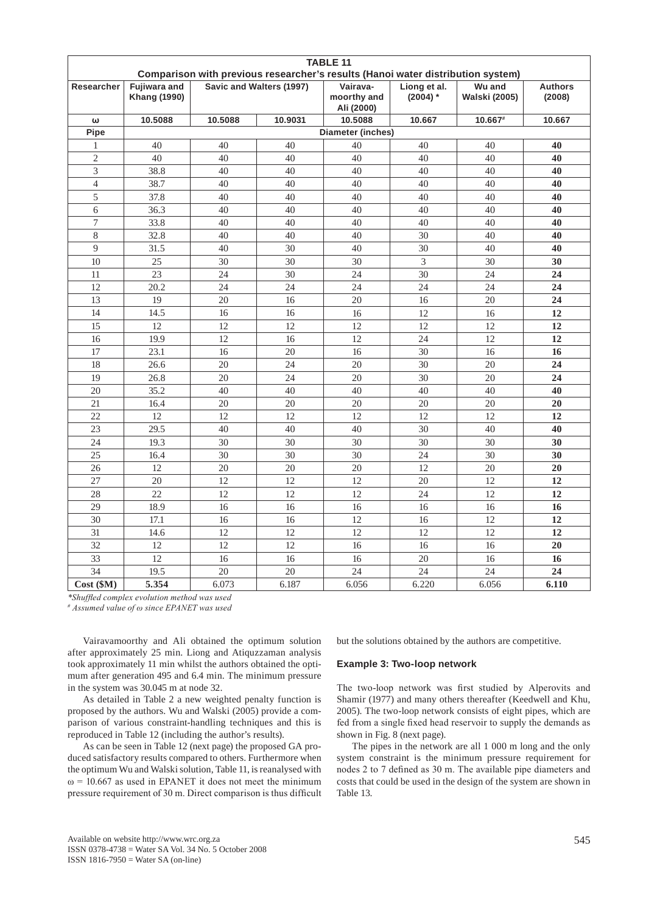| <b>TABLE 11</b> |                     |                 |                          |                                                                                 |                            |                         |                          |
|-----------------|---------------------|-----------------|--------------------------|---------------------------------------------------------------------------------|----------------------------|-------------------------|--------------------------|
|                 | <b>Fujiwara and</b> |                 |                          | Comparison with previous researcher's results (Hanoi water distribution system) |                            |                         |                          |
| Researcher      | <b>Khang (1990)</b> |                 | Savic and Walters (1997) | Vairava-<br>moorthy and<br>Ali (2000)                                           | Liong et al.<br>$(2004)$ * | Wu and<br>Walski (2005) | <b>Authors</b><br>(2008) |
| ω               | 10.5088             | 10.5088         | 10.9031                  | 10.5088                                                                         | 10.667                     | 10.667#                 | 10.667                   |
| Pipe            |                     |                 |                          | <b>Diameter (inches)</b>                                                        |                            |                         |                          |
| 1               | 40                  | 40              | 40                       | 40                                                                              | 40                         | 40                      | 40                       |
| $\overline{2}$  | 40                  | 40              | 40                       | 40                                                                              | 40                         | 40                      | 40                       |
| 3               | 38.8                | 40              | 40                       | 40                                                                              | 40                         | 40                      | 40                       |
| $\overline{4}$  | 38.7                | 40              | 40                       | 40                                                                              | 40                         | 40                      | 40                       |
| 5               | 37.8                | 40              | 40                       | 40                                                                              | 40                         | 40                      | 40                       |
| 6               | 36.3                | 40              | 40                       | 40                                                                              | 40                         | 40                      | 40                       |
| $\tau$          | 33.8                | 40              | 40                       | 40                                                                              | 40                         | 40                      | 40                       |
| 8               | 32.8                | 40              | 40                       | 40                                                                              | 30                         | 40                      | 40                       |
| 9               | 31.5                | 40              | 30                       | 40                                                                              | 30                         | 40                      | 40                       |
| 10              | 25                  | 30              | 30                       | 30                                                                              | 3                          | 30                      | 30                       |
| 11              | $\overline{23}$     | 24              | 30                       | 24                                                                              | $\overline{30}$            | 24                      | 24                       |
| 12              | 20.2                | 24              | 24                       | 24                                                                              | 24                         | 24                      | 24                       |
| 13              | 19                  | 20              | 16                       | 20                                                                              | 16                         | 20                      | 24                       |
| 14              | 14.5                | 16              | 16                       | 16                                                                              | 12                         | 16                      | 12                       |
| 15              | 12                  | 12              | 12                       | 12                                                                              | $\overline{12}$            | 12                      | 12                       |
| 16              | 19.9                | 12              | 16                       | 12                                                                              | 24                         | 12                      | 12                       |
| 17              | 23.1                | 16              | 20                       | 16                                                                              | 30                         | 16                      | 16                       |
| 18              | 26.6                | 20              | 24                       | 20                                                                              | 30                         | 20                      | 24                       |
| 19              | 26.8                | 20              | 24                       | 20                                                                              | 30                         | 20                      | 24                       |
| 20              | 35.2                | 40              | 40                       | 40                                                                              | 40                         | 40                      | 40                       |
| 21              | 16.4                | 20              | 20                       | 20                                                                              | 20                         | 20                      | 20                       |
| $\overline{22}$ | 12                  | $\overline{12}$ | 12                       | 12                                                                              | $\overline{12}$            | 12                      | 12                       |
| 23              | 29.5                | 40              | 40                       | 40                                                                              | 30                         | 40                      | 40                       |
| 24              | 19.3                | 30              | 30                       | 30                                                                              | 30                         | 30                      | 30                       |
| 25              | 16.4                | 30              | 30                       | 30                                                                              | 24                         | 30                      | 30                       |
| 26              | 12                  | 20              | 20                       | 20                                                                              | 12                         | 20                      | 20                       |
| 27              | 20                  | 12              | 12                       | 12                                                                              | 20                         | 12                      | 12                       |
| 28              | 22                  | 12              | 12                       | 12                                                                              | 24                         | 12                      | 12                       |
| 29              | 18.9                | 16              | 16                       | 16                                                                              | 16                         | 16                      | 16                       |
| 30              | 17.1                | 16              | 16                       | 12                                                                              | 16                         | 12                      | 12                       |
| 31              | 14.6                | 12              | 12                       | 12                                                                              | 12                         | 12                      | 12                       |
| 32              | 12                  | 12              | 12                       | 16                                                                              | 16                         | 16                      | 20                       |
| 33              | 12                  | 16              | 16                       | 16                                                                              | 20                         | 16                      | 16                       |
| 34              | 19.5                | 20              | 20                       | 24                                                                              | 24                         | 24                      | 24                       |
| Cost (\$M)      | 5.354               | 6.073           | 6.187                    | 6.056                                                                           | 6.220                      | 6.056                   | 6.110                    |

*\*Shuffled complex evolution method was used*

*# Assumed value of ω since EPANET was used*

Vairavamoorthy and Ali obtained the optimum solution after approximately 25 min. Liong and Atiquzzaman analysis took approximately 11 min whilst the authors obtained the optimum after generation 495 and 6.4 min. The minimum pressure in the system was 30.045 m at node 32.

As detailed in Table 2 a new weighted penalty function is proposed by the authors. Wu and Walski (2005) provide a comparison of various constraint-handling techniques and this is reproduced in Table 12 (including the author's results).

As can be seen in Table 12 (next page) the proposed GA produced satisfactory results compared to others. Furthermore when the optimum Wu and Walski solution, Table 11, is reanalysed with  $\omega$  = 10.667 as used in EPANET it does not meet the minimum pressure requirement of 30 m. Direct comparison is thus difficult but the solutions obtained by the authors are competitive.

#### **Example 3: Two-loop network**

The two-loop network was first studied by Alperovits and Shamir (1977) and many others thereafter (Keedwell and Khu, 2005). The two-loop network consists of eight pipes, which are fed from a single fixed head reservoir to supply the demands as shown in Fig. 8 (next page).

The pipes in the network are all 1 000 m long and the only system constraint is the minimum pressure requirement for nodes 2 to 7 defined as 30 m. The available pipe diameters and costs that could be used in the design of the system are shown in Table 13.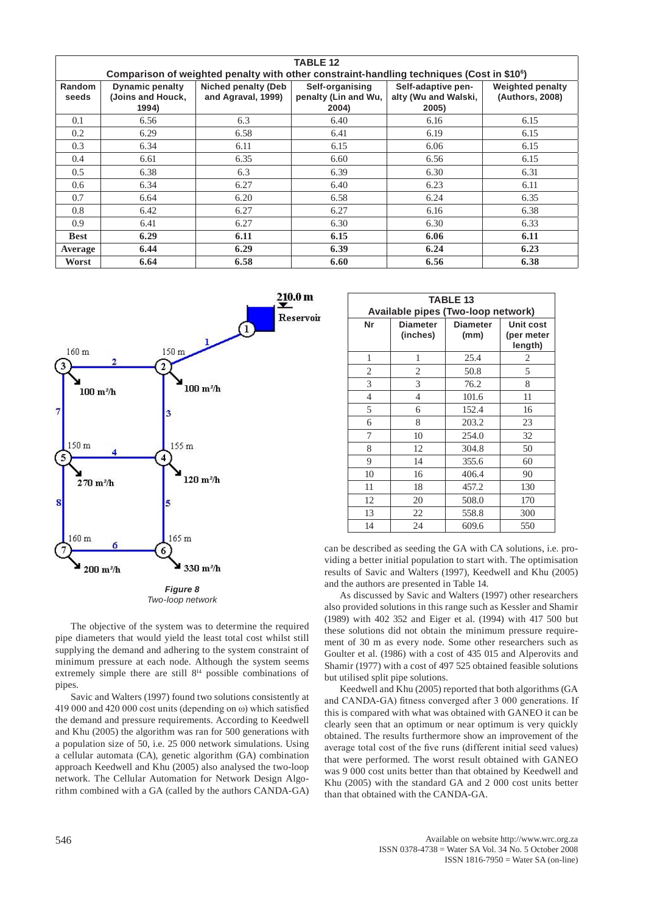|                        | <b>TABLE 12</b>                                                                                       |                                           |                                                  |                                                     |                                            |  |
|------------------------|-------------------------------------------------------------------------------------------------------|-------------------------------------------|--------------------------------------------------|-----------------------------------------------------|--------------------------------------------|--|
|                        | Comparison of weighted penalty with other constraint-handling techniques (Cost in \$10 <sup>6</sup> ) |                                           |                                                  |                                                     |                                            |  |
| <b>Random</b><br>seeds | <b>Dynamic penalty</b><br>(Joins and Houck,<br>1994)                                                  | Niched penalty (Deb<br>and Agraval, 1999) | Self-organising<br>penalty (Lin and Wu,<br>2004) | Self-adaptive pen-<br>alty (Wu and Walski,<br>2005) | <b>Weighted penalty</b><br>(Authors, 2008) |  |
| 0.1                    | 6.56                                                                                                  | 6.3                                       | 6.40                                             | 6.16                                                | 6.15                                       |  |
| 0.2                    | 6.29                                                                                                  | 6.58                                      | 6.41                                             | 6.19                                                | 6.15                                       |  |
| 0.3                    | 6.34                                                                                                  | 6.11                                      | 6.15                                             | 6.06                                                | 6.15                                       |  |
| 0.4                    | 6.61                                                                                                  | 6.35                                      | 6.60                                             | 6.56                                                | 6.15                                       |  |
| 0.5                    | 6.38                                                                                                  | 6.3                                       | 6.39                                             | 6.30                                                | 6.31                                       |  |
| 0.6                    | 6.34                                                                                                  | 6.27                                      | 6.40                                             | 6.23                                                | 6.11                                       |  |
| 0.7                    | 6.64                                                                                                  | 6.20                                      | 6.58                                             | 6.24                                                | 6.35                                       |  |
| 0.8                    | 6.42                                                                                                  | 6.27                                      | 6.27                                             | 6.16                                                | 6.38                                       |  |
| 0.9                    | 6.41                                                                                                  | 6.27                                      | 6.30                                             | 6.30                                                | 6.33                                       |  |
| <b>Best</b>            | 6.29                                                                                                  | 6.11                                      | 6.15                                             | 6.06                                                | 6.11                                       |  |
| Average                | 6.44                                                                                                  | 6.29                                      | 6.39                                             | 6.24                                                | 6.23                                       |  |
| Worst                  | 6.64                                                                                                  | 6.58                                      | 6.60                                             | 6.56                                                | 6.38                                       |  |



*Two-loop network*

The objective of the system was to determine the required pipe diameters that would yield the least total cost whilst still supplying the demand and adhering to the system constraint of minimum pressure at each node. Although the system seems extremely simple there are still  $8<sup>14</sup>$  possible combinations of pipes.

Savic and Walters (1997) found two solutions consistently at 419 000 and 420 000 cost units (depending on ω) which satisfied the demand and pressure requirements. According to Keedwell and Khu (2005) the algorithm was ran for 500 generations with a population size of 50, i.e. 25 000 network simulations. Using a cellular automata (CA), genetic algorithm (GA) combination approach Keedwell and Khu (2005) also analysed the two-loop network. The Cellular Automation for Network Design Algorithm combined with a GA (called by the authors CANDA-GA)

|                | <b>TABLE 13</b><br>Available pipes (Two-loop network) |                         |                                           |  |  |
|----------------|-------------------------------------------------------|-------------------------|-------------------------------------------|--|--|
| Nr             | <b>Diameter</b><br>(inches)                           | <b>Diameter</b><br>(mm) | <b>Unit cost</b><br>(per meter<br>length) |  |  |
| 1              | 1                                                     | 25.4                    | 2                                         |  |  |
| 2              | $\overline{2}$                                        | 50.8                    | 5                                         |  |  |
| 3              | 3                                                     | 76.2                    | 8                                         |  |  |
| $\overline{4}$ | 4                                                     | 101.6                   | 11                                        |  |  |
| 5              | 6                                                     | 152.4                   | 16                                        |  |  |
| 6              | 8                                                     | 203.2                   | 23                                        |  |  |
| 7              | 10                                                    | 254.0                   | 32                                        |  |  |
| 8              | 12                                                    | 304.8                   | 50                                        |  |  |
| 9              | 14                                                    | 355.6                   | 60                                        |  |  |
| 10             | 16                                                    | 406.4                   | 90                                        |  |  |
| 11             | 18                                                    | 457.2                   | 130                                       |  |  |
| 12             | 20                                                    | 508.0                   | 170                                       |  |  |
| 13             | 22                                                    | 558.8                   | 300                                       |  |  |
| 14             | 24                                                    | 609.6                   | 550                                       |  |  |

can be described as seeding the GA with CA solutions, i.e. providing a better initial population to start with. The optimisation results of Savic and Walters (1997), Keedwell and Khu (2005) and the authors are presented in Table 14.

As discussed by Savic and Walters (1997) other researchers also provided solutions in this range such as Kessler and Shamir (1989) with 402 352 and Eiger et al. (1994) with 417 500 but these solutions did not obtain the minimum pressure requirement of 30 m as every node. Some other researchers such as Goulter et al. (1986) with a cost of 435 015 and Alperovits and Shamir (1977) with a cost of 497 525 obtained feasible solutions but utilised split pipe solutions.

Keedwell and Khu (2005) reported that both algorithms (GA and CANDA-GA) fitness converged after 3 000 generations. If this is compared with what was obtained with GANEO it can be clearly seen that an optimum or near optimum is very quickly obtained. The results furthermore show an improvement of the average total cost of the five runs (different initial seed values) that were performed. The worst result obtained with GANEO was 9 000 cost units better than that obtained by Keedwell and Khu (2005) with the standard GA and 2 000 cost units better than that obtained with the CANDA-GA.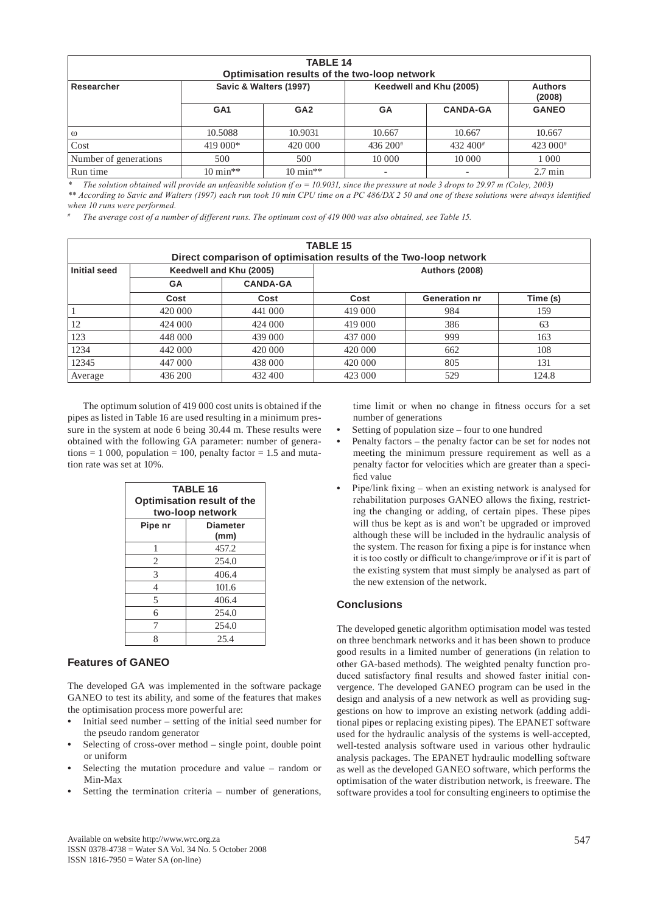| <b>TABLE 14</b><br>Optimisation results of the two-loop network |                        |                     |                         |                      |                          |
|-----------------------------------------------------------------|------------------------|---------------------|-------------------------|----------------------|--------------------------|
| Researcher                                                      | Savic & Walters (1997) |                     | Keedwell and Khu (2005) |                      | <b>Authors</b><br>(2008) |
|                                                                 | GA <sub>1</sub>        | GA <sub>2</sub>     | <b>GA</b>               | <b>CANDA-GA</b>      | <b>GANEO</b>             |
| $\omega$                                                        | 10.5088                | 10.9031             | 10.667                  | 10.667               | 10.667                   |
| Cost                                                            | 419 000*               | 420 000             | $436\,200*$             | $432,400^{\text{*}}$ | 423 000 <sup>#</sup>     |
| Number of generations                                           | 500                    | 500                 | 10 000                  | 10 000               | 1 0 0 0                  |
| Run time                                                        | $10 \text{ min}$ **    | $10 \text{ min}$ ** |                         |                      | $2.7 \text{ min}$        |

*\* The solution obtained will provide an unfeasible solution if ω = 10.9031, since the pressure at node 3 drops to 29.97 m (Coley, 2003)*

*\*\* According to Savic and Walters (1997) each run took 10 min CPU time on a PC 486/DX 2 50 and one of these solutions were always identified when 10 runs were performed.*

*# The average cost of a number of different runs. The optimum cost of 419 000 was also obtained, see Table 15.*

| <b>TABLE 15</b><br>Direct comparison of optimisation results of the Two-loop network |                         |                 |                       |                      |          |
|--------------------------------------------------------------------------------------|-------------------------|-----------------|-----------------------|----------------------|----------|
| <b>Initial seed</b>                                                                  | Keedwell and Khu (2005) |                 | <b>Authors (2008)</b> |                      |          |
|                                                                                      | <b>GA</b>               | <b>CANDA-GA</b> |                       |                      |          |
|                                                                                      | Cost                    | Cost            | Cost                  | <b>Generation nr</b> | Time (s) |
|                                                                                      | 420 000                 | 441 000         | 419 000               | 984                  | 159      |
| 12                                                                                   | 424 000                 | 424 000         | 419 000               | 386                  | 63       |
| 123                                                                                  | 448 000                 | 439 000         | 437 000               | 999                  | 163      |
| 1234                                                                                 | 442 000                 | 420 000         | 420 000               | 662                  | 108      |
| 12345                                                                                | 447 000                 | 438 000         | 420 000               | 805                  | 131      |
| Average                                                                              | 436 200                 | 432 400         | 423 000               | 529                  | 124.8    |

The optimum solution of 419 000 cost units is obtained if the pipes as listed in Table 16 are used resulting in a minimum pressure in the system at node 6 being 30.44 m. These results were obtained with the following GA parameter: number of generations  $= 1000$ , population  $= 100$ , penalty factor  $= 1.5$  and mutation rate was set at 10%.

| <b>TABLE 16</b><br><b>Optimisation result of the</b><br>two-loop network |                         |  |  |
|--------------------------------------------------------------------------|-------------------------|--|--|
| Pipe nr                                                                  | <b>Diameter</b><br>(mm) |  |  |
| 1                                                                        | 457.2                   |  |  |
| 2                                                                        | 254.0                   |  |  |
| 3                                                                        | 406.4                   |  |  |
| 4                                                                        | 101.6                   |  |  |
| 5                                                                        | 406.4                   |  |  |
| 6                                                                        | 254.0                   |  |  |
|                                                                          | 254.0                   |  |  |
|                                                                          | 25.4                    |  |  |

# **Features of GANEO**

The developed GA was implemented in the software package GANEO to test its ability, and some of the features that makes the optimisation process more powerful are:

- **•** Initial seed number setting of the initial seed number for the pseudo random generator
- **•** Selecting of cross-over method single point, double point or uniform
- **•** Selecting the mutation procedure and value random or Min-Max
- **•** Setting the termination criteria number of generations,

time limit or when no change in fitness occurs for a set number of generations

- **•** Setting of population size four to one hundred
- **•** Penalty factors the penalty factor can be set for nodes not meeting the minimum pressure requirement as well as a penalty factor for velocities which are greater than a specified value
- **•** Pipe/link fixing when an existing network is analysed for rehabilitation purposes GANEO allows the fixing, restricting the changing or adding, of certain pipes. These pipes will thus be kept as is and won't be upgraded or improved although these will be included in the hydraulic analysis of the system. The reason for fixing a pipe is for instance when it is too costly or difficult to change/improve or if it is part of the existing system that must simply be analysed as part of the new extension of the network.

# **Conclusions**

The developed genetic algorithm optimisation model was tested on three benchmark networks and it has been shown to produce good results in a limited number of generations (in relation to other GA-based methods). The weighted penalty function produced satisfactory final results and showed faster initial convergence. The developed GANEO program can be used in the design and analysis of a new network as well as providing suggestions on how to improve an existing network (adding additional pipes or replacing existing pipes). The EPANET software used for the hydraulic analysis of the systems is well-accepted, well-tested analysis software used in various other hydraulic analysis packages. The EPANET hydraulic modelling software as well as the developed GANEO software, which performs the optimisation of the water distribution network, is freeware. The software provides a tool for consulting engineers to optimise the